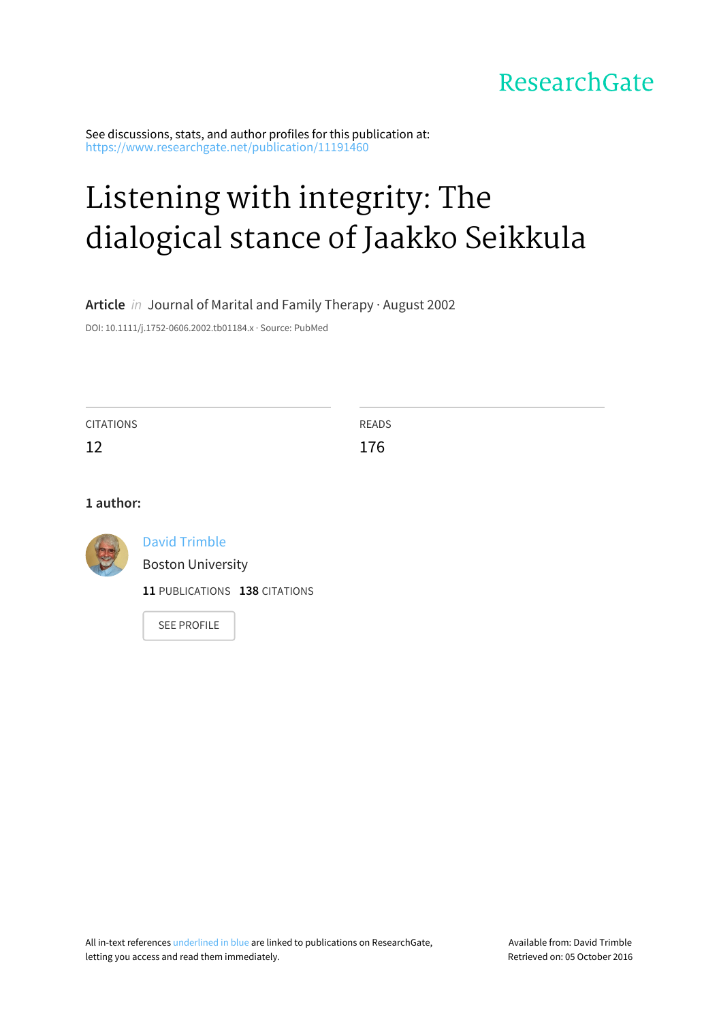## ResearchGate

See discussions, stats, and author profiles for this publication at: [https://www.researchgate.net/publication/11191460](https://www.researchgate.net/publication/11191460_Listening_with_integrity_The_dialogical_stance_of_Jaakko_Seikkula?enrichId=rgreq-cdca0d802070b8293d8e9e885860880a-XXX&enrichSource=Y292ZXJQYWdlOzExMTkxNDYwO0FTOjE4NzA5MDkzNTQ5MjYwOEAxNDIxNjE3MzYzNzUz&el=1_x_2)

# Listening with integrity: The [dialogical](https://www.researchgate.net/publication/11191460_Listening_with_integrity_The_dialogical_stance_of_Jaakko_Seikkula?enrichId=rgreq-cdca0d802070b8293d8e9e885860880a-XXX&enrichSource=Y292ZXJQYWdlOzExMTkxNDYwO0FTOjE4NzA5MDkzNTQ5MjYwOEAxNDIxNjE3MzYzNzUz&el=1_x_3) stance of Jaakko Seikkula

**Article** in Journal of Marital and Family Therapy · August 2002

DOI: 10.1111/j.1752-0606.2002.tb01184.x · Source: PubMed

| CITATIONS | READS |
|-----------|-------|
| າາ<br>--  | 176   |

## **1 author:**



David [Trimble](https://www.researchgate.net/profile/David_Trimble?enrichId=rgreq-cdca0d802070b8293d8e9e885860880a-XXX&enrichSource=Y292ZXJQYWdlOzExMTkxNDYwO0FTOjE4NzA5MDkzNTQ5MjYwOEAxNDIxNjE3MzYzNzUz&el=1_x_5) Boston [University](https://www.researchgate.net/institution/Boston_University?enrichId=rgreq-cdca0d802070b8293d8e9e885860880a-XXX&enrichSource=Y292ZXJQYWdlOzExMTkxNDYwO0FTOjE4NzA5MDkzNTQ5MjYwOEAxNDIxNjE3MzYzNzUz&el=1_x_6)

**11** PUBLICATIONS **138** CITATIONS

SEE [PROFILE](https://www.researchgate.net/profile/David_Trimble?enrichId=rgreq-cdca0d802070b8293d8e9e885860880a-XXX&enrichSource=Y292ZXJQYWdlOzExMTkxNDYwO0FTOjE4NzA5MDkzNTQ5MjYwOEAxNDIxNjE3MzYzNzUz&el=1_x_7)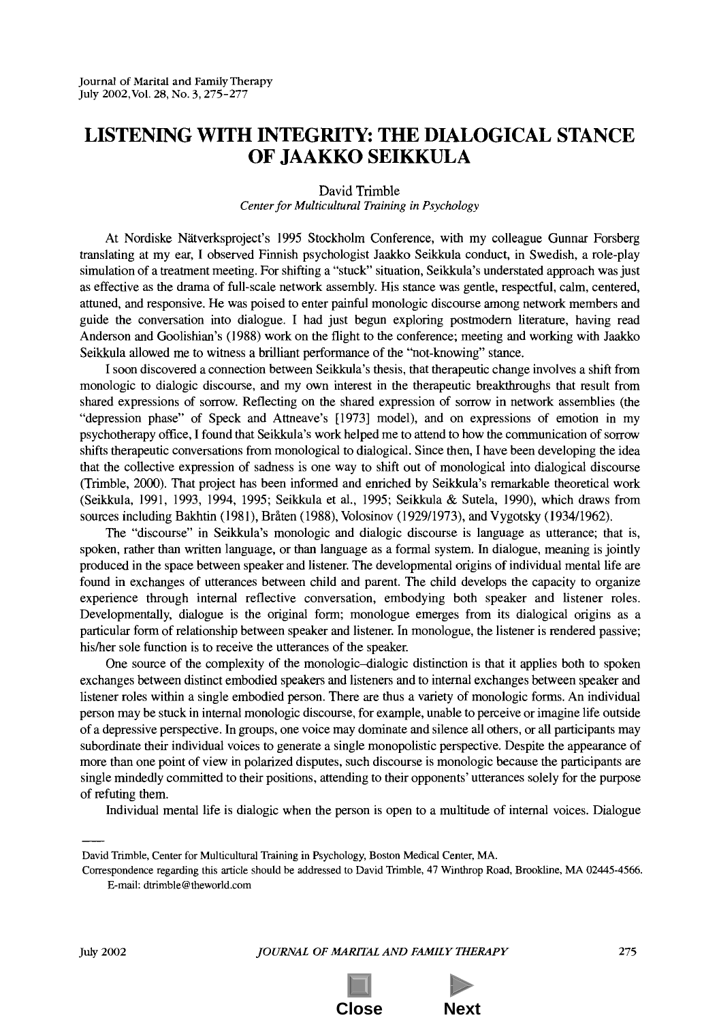## **LISTENING WITH INTEGRITY: THE DIALOGICAL STANCE OF JAAKKO SEIKKULA**

### David Trimble

*Center for Multicultural Training in Psychology* 

At Nordiske Natverksproject's 1995 Stockholm Conference, with my colleague Gunnar Forsberg translating at my ear, **I** observed Finnish psychologist Jaakko Seikkula conduct, in Swedish, a role-play simulation of a treatment meeting. For shifting a "stuck" situation, Seikkula's understated approach was just as effective as the drama of full-scale network assembly. His stance was gentle, respectful, calm, centered, attuned, and responsive. He was poised to enter painful monologic discourse among network members and guide the conversation into dialogue. I had just begun exploring postmodern literature, having read Anderson and Goolishian's (1988) work on the flight to the conference; meeting and working with Jaakko Seikkula allowed me to witness a brilliant performance of the "not-knowing" stance.

I soon discovered a connection between Seikkula's thesis, that therapeutic change involves a shift from monologic to dialogic discourse, and my own interest in the therapeutic breakthroughs that result from shared expressions of sorrow. Reflecting on the shared expression of sorrow in network assemblies (the "depression phase" of Speck and Attneave's [1973] model), and on expressions of emotion in my psychotherapy office, **I** found that Seikkula's work helped me to attend to how the communication of sorrow shifts therapeutic conversations from monological to dialogical. Since then, I have been developing the idea that the collective expression of sadness is one way to shift out of monological into dialogical discourse (Trimble, 2000). That project has been informed and enriched by Seikkula's remarkable theoretical work (Seikkula, 1991, 1993, 1994, 1995; Seikkula et al., 1995; Seikkula & Sutela, 1990), which draws from sources including Bakhtin (1981), Bråten (1988), Volosinov (1929/1973), and Vygotsky (1934/1962).

The "discourse" in Seikkula's monologic and dialogic discourse is language as utterance; that is, spoken, rather than written language, or than language as a formal system. In dialogue, meaning is jointly produced in the space between speaker and listener. The developmental origins of individual mental life are found in exchanges of utterances between child and parent. The child develops the capacity to organize experience through internal reflective conversation, embodying both speaker and listener roles. Developmentally, dialogue is the original form; monologue emerges from its dialogical origins as a particular form of relationship between speaker and listener. In monologue, the listener is rendered passive; his/her sole function is to receive the utterances of the speaker.

One source of the complexity of the monologic-dialogic distinction is that it applies both to spoken exchanges between distinct embodied speakers and listeners and to internal exchanges between speaker and listener roles within a single embodied person. There are thus a variety of monologic forms. An individual person may be stuck in internal monologic discourse, for example, unable to perceive or imagine life outside of a depressive perspective. In groups, one voice may dominate and silence all others, or all participants may subordinate their individual voices to generate a single monopolistic perspective. Despite the appearance of more than one point of view in polarized disputes, such discourse **is** monologic because the participants are single mindedly committed to their positions, attending to their opponents' utterances solely for the purpose of refuting them. single min<br>of refuting<br>Indiv<br>——<br>David Trim

Individual mental life is dialogic when the person is open to a multitude of internal voices. Dialogue

July **2002** *JOURNAL OF MARITAL AND FmILY THERAPY* **275** 



David Trimble, Center for Multicultural Training in Psychology, Boston Medical Center, MA.

Correspondence regarding this article should be addressed to David Trimble, 47 Winthrop **Road,** Brookline, MA 024454566, E-mail: dtrimble@theworld.com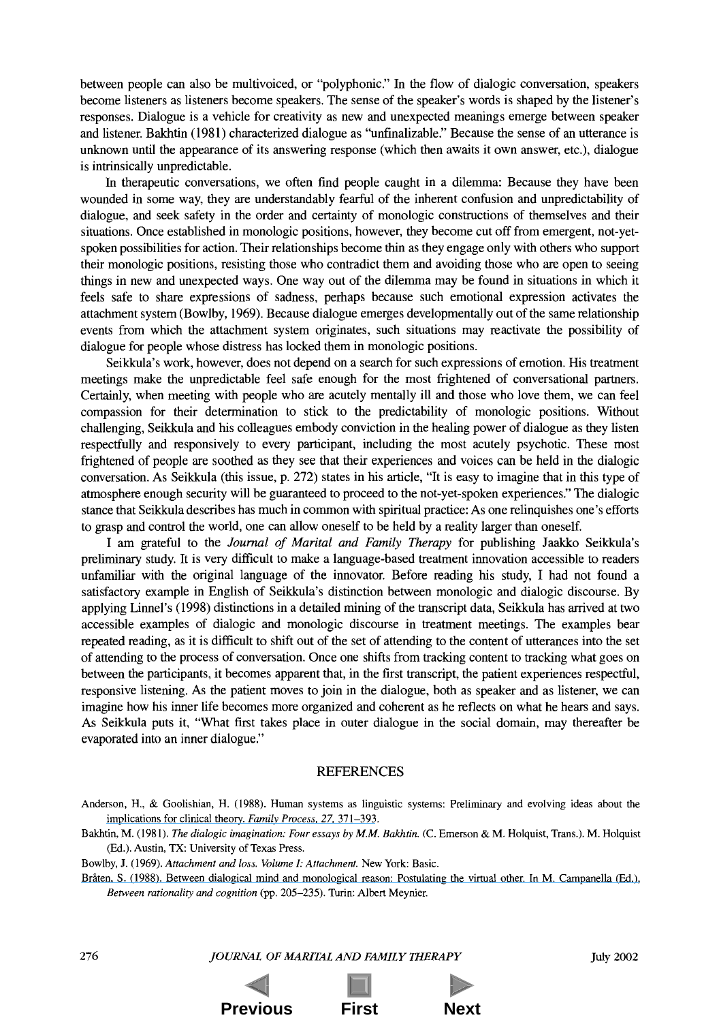between people can also be multivoiced, or "polyphonic." In the flow of dialogic conversation, speakers become listeners as listeners become speakers. The sense of the speaker's words is shaped by the listener's responses. Dialogue is a vehicle for creativity as new and unexpected meanings emerge between speaker and listener. Bakhtin (1981) characterized dialogue as "unfinalizable." Because the sense of an utterance is unknown until the appearance of its answering response (which then awaits it own answer, etc.), dialogue is intrinsically unpredictable.

In therapeutic conversations, we often find people caught in a dilemma: Because they have been wounded in some way, they are understandably fearful of the inherent confusion and unpredictability of dialogue, and seek safety in the order and certainty of monologic constructions of themselves and their situations. Once established in monologic positions, however, they become cut off from emergent, not-yetspoken possibilities for action. Their relationships become thin as they engage only with others who support their monologic positions, resisting those who contradict them and avoiding those who are open to seeing things in new and unexpected ways. One way out of the dilemma may be found in situations in which it feels safe to share expressions of sadness, perhaps because such emotional expression activates the attachment system (Bowlby, 1969). Because dialogue emerges developmentally out of the same relationship events from which the attachment system originates, such situations may reactivate the possibility of dialogue for people whose distress has locked them in monologic positions.

Seikkula's work, however, does not depend on a search for such expressions of emotion. His treatment meetings make the unpredictable feel safe enough for the most frightened of conversational partners. Certainly, when meeting with people who are acutely mentally ill and those who love them, we can feel compassion for their determination to stick to the predictability of monologic positions. Without challenging, Seikkula and his colleagues embody conviction in the healing power of dialogue as they listen respectfully and responsively to every participant, including the most acutely psychotic. These most frightened of people are soothed as they see that their experiences and voices can be held in the dialogic conversation. **As** Seikkula (this issue, p. **272)** states in his article, "It is easy to imagine that in this type of atmosphere enough security will be guaranteed to proceed to the not-yet-spoken experiences." The dialogic stance that Seikkula describes has much in common with spiritual practice: **As** one relinquishes one's efforts to grasp and control the world, one can allow oneself to be held by a reality larger than oneself.

I am grateful to the *Journal* of *Marital and Family Therapy* for publishing *Jaakko* Seikkula's preliminary study. It is very difficult to make a language-based treatment innovation accessible to readers unfamiliar with the original language of the innovator. Before reading his study, I had not found a satisfactory example in English of Seikkula's distinction between monologic and dialogic discourse. By applying Linnel's (1998) distinctions in a detailed mining of the transcript data, Seikkula has arrived at two accessible examples of dialogic and monologic discourse in treatment meetings. The examples bear repeated reading, as it is difficult to shift out of the set of attending to the content of utterances into the set of attending to the process of conversation. Once one shifts from tracking content to tracking what goes on between the participants, it becomes apparent that, in the first transcript, the patient experiences respectful, responsive listening. **As** the patient moves to join in the dialogue, both as speaker and as listener, we can imagine how his inner life becomes more organized and coherent as he reflects on what he hears and says. **As** Seikkula puts it, "What first takes place in outer dialogue in the social domain, may thereafter be evaporated into an inner dialogue."

#### REFERENCES

Anderson, H., & Goolishian, H. (1988). Human systems as linguistic systems: Preliminary and evolving ideas about the [implications for clinical theory.](https://www.researchgate.net/publication/288924039_Between_dialogical_mind_and_monological_reason_Postulating_the_virtual_other?el=1_x_8&enrichId=rgreq-cdca0d802070b8293d8e9e885860880a-XXX&enrichSource=Y292ZXJQYWdlOzExMTkxNDYwO0FTOjE4NzA5MDkzNTQ5MjYwOEAxNDIxNjE3MzYzNzUz) *Family Process, 27,* 371-393.

Bakhtin, M. (1981). *The dialogic imagination: Four essays by M.M. Bakhtin.* **(C.** Emerson & M. Holquist, Trans.). M. Holquist *(Ed.).* Austin, TX: University of Texas Press.

Bowlby, J. (1969). *Attachment and loss. Volume I: Attachment*. New York: Basic.

Bråten, S. [\(1988\). Between dialogical mind and monological reason: Postulating the virtual other. In M. Campanella \(Ed.\),](https://www.researchgate.net/publication/288924039_Between_dialogical_mind_and_monological_reason_Postulating_the_virtual_other?el=1_x_8&enrichId=rgreq-cdca0d802070b8293d8e9e885860880a-XXX&enrichSource=Y292ZXJQYWdlOzExMTkxNDYwO0FTOjE4NzA5MDkzNTQ5MjYwOEAxNDIxNjE3MzYzNzUz) *Between rationality and cognition* (pp. *205-235). Turin:* Albert Meynier.

*276 JOURNAL OF MARITAL AND FAMILY THERAPY* July **2002**